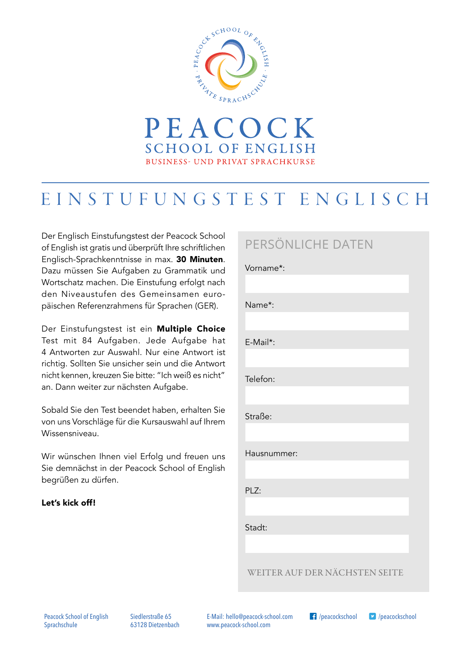



Der Englisch Einstufungstest der Peacock School of English ist gratis und überprüft Ihre schriftlichen Englisch-Sprachkenntnisse in max. 30 Minuten. Dazu müssen Sie Aufgaben zu Grammatik und Wortschatz machen. Die Einstufung erfolgt nach den Niveaustufen des Gemeinsamen europäischen Referenzrahmens für Sprachen (GER).

Der Einstufungstest ist ein Multiple Choice Test mit 84 Aufgaben. Jede Aufgabe hat 4 Antworten zur Auswahl. Nur eine Antwort ist richtig. Sollten Sie unsicher sein und die Antwort nicht kennen, kreuzen Sie bitte: "Ich weiß es nicht" an. Dann weiter zur nächsten Aufgabe.

Sobald Sie den Test beendet haben, erhalten Sie von uns Vorschläge für die Kursauswahl auf Ihrem Wissensniveau.

Wir wünschen Ihnen viel Erfolg und freuen uns Sie demnächst in der Peacock School of English begrüßen zu dürfen.

#### Let's kick off!

# PERSÖNLICHE DATEN

Vorname\*: Name\*: E-Mail\*: Telefon: Straße: Hausnummer: PLZ: Stadt:

WEITER AUF DER NÄCHSTEN SEITE

Siedlerstraße 65 63128 Dietzenbach E-Mail: hello@peacock-school.com www.peacock-school.com

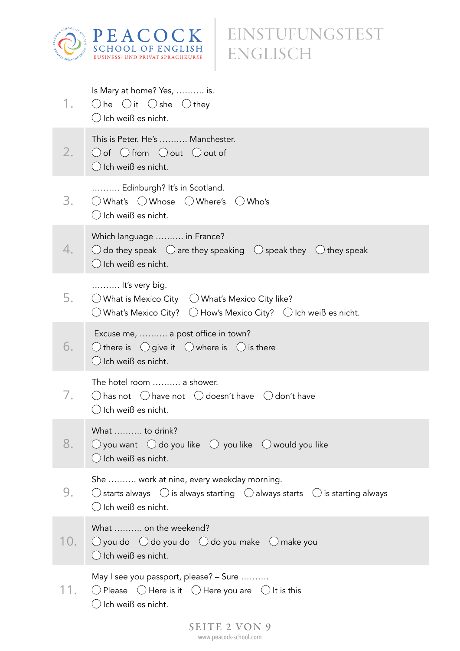

| 1.  | Is Mary at home? Yes,  is.<br>$\bigcirc$ he $\bigcirc$ it $\bigcirc$ she $\bigcirc$ they<br>() Ich weiß es nicht.                                                                           |
|-----|---------------------------------------------------------------------------------------------------------------------------------------------------------------------------------------------|
| 2.  | This is Peter. He's  Manchester.<br>$\bigcirc$ of $\bigcirc$ from $\bigcirc$ out $\bigcirc$ out of<br>$\bigcirc$ Ich weiß es nicht.                                                         |
| 3.  | Edinburgh? It's in Scotland.<br>$\bigcirc$ What's $\bigcirc$ Whose $\bigcirc$ Where's $\bigcirc$ Who's<br>$\bigcirc$ Ich weiß es nicht.                                                     |
| 4.  | Which language  in France?<br>$\bigcirc$ do they speak $\bigcirc$ are they speaking $\bigcirc$ speak they $\bigcirc$ they speak<br>$\bigcirc$ Ich weiß es nicht.                            |
| 5.  | It's very big.<br>$\bigcirc$ What is Mexico City $\bigcirc$ What's Mexico City like?<br>$\bigcirc$ What's Mexico City? $\ \bigcirc$ How's Mexico City? $\ \bigcirc$ Ich weiß es nicht.      |
| 6.  | Excuse me,  a post office in town?<br>$\bigcirc$ there is $\bigcirc$ give it $\bigcirc$ where is $\bigcirc$ is there<br>$\bigcirc$ Ich weiß es nicht.                                       |
| 7.  | The hotel room  a shower.<br>$\bigcirc$ has not $\bigcirc$ have not $\bigcirc$ doesn't have $\bigcirc$ don't have<br>() Ich weiß es nicht.                                                  |
| 8.  | What  to drink?<br>$\bigcirc$ you want $\bigcirc$ do you like $\bigcirc$ you like $\bigcirc$ would you like<br>$\bigcirc$ Ich weiß es nicht.                                                |
| 9.  | She  work at nine, every weekday morning.<br>$\bigcirc$ starts always $\bigcirc$ is always starting $\bigcirc$ always starts $\bigcirc$ is starting always<br>$\bigcirc$ Ich weiß es nicht. |
| 10. | What  on the weekend?<br>$\bigcirc$ you do $\bigcirc$ do you do $\bigcirc$ do you make $\bigcirc$ make you<br>$\bigcirc$ Ich weiß es nicht.                                                 |
| 11. | May I see you passport, please? - Sure<br>O Please $\bigcirc$ Here is it $\bigcirc$ Here you are $\bigcirc$ It is this<br>$\bigcirc$ Ich weiß es nicht.                                     |
|     | SEITE 2 VON 9                                                                                                                                                                               |

www.peacock-school.com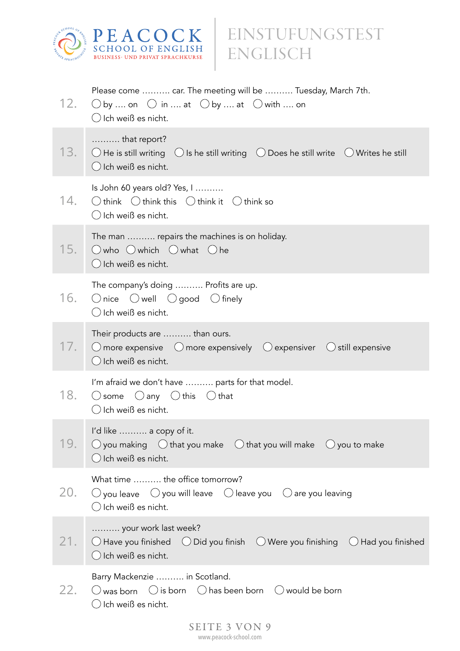

| 12. | Please come  car. The meeting will be  Tuesday, March 7th.<br>$\bigcirc$ by  on $\bigcirc$ in  at $\bigcirc$ by  at $\bigcirc$ with  on<br>$\bigcirc$ Ich weiß es nicht.  |
|-----|---------------------------------------------------------------------------------------------------------------------------------------------------------------------------|
| 13. | that report?<br>$\bigcirc$ He is still writing $\bigcirc$ Is he still writing $\bigcirc$ Does he still write $\bigcirc$ Writes he still<br>O Ich weiß es nicht.           |
| 14. | Is John 60 years old? Yes, I<br>$\bigcirc$ think $\bigcirc$ think this $\bigcirc$ think it $\bigcirc$ think so<br>$\bigcirc$ Ich weiß es nicht.                           |
| 15. | The man  repairs the machines is on holiday.<br>$\bigcirc$ who $\bigcirc$ which $\bigcirc$ what $\bigcirc$ he<br>$\bigcirc$ Ich weiß es nicht.                            |
| 16. | The company's doing  Profits are up.<br>$\bigcirc$ nice $\bigcirc$ well $\bigcirc$ good $\bigcirc$ finely<br>$\bigcirc$ Ich weiß es nicht.                                |
| 17. | Their products are  than ours.<br>$\bigcirc$ more expensive $\bigcirc$ more expensively $\bigcirc$ expensiver $\bigcirc$ still expensive<br>$\bigcirc$ Ich weiß es nicht. |
| 18. | I'm afraid we don't have  parts for that model.<br>$\bigcirc$ some $\bigcirc$ any $\bigcirc$ this $\bigcirc$ that<br>$\bigcirc$ Ich weiß es nicht.                        |
| 19. | I'd like  a copy of it.<br>$\bigcirc$ you making $\bigcirc$ that you make $\bigcirc$ that you will make $\bigcirc$ you to make<br>$\bigcirc$ Ich weiß es nicht.           |
| 20. | What time  the office tomorrow?<br>$\bigcirc$ you leave $\bigcirc$ you will leave $\bigcirc$ leave you $\bigcirc$ are you leaving<br>$\bigcirc$ Ich weiß es nicht.        |
| 21. | your work last week?<br>$\bigcirc$ Have you finished $\bigcirc$ Did you finish $\bigcirc$ Were you finishing $\bigcirc$ Had you finished<br>$\bigcirc$ Ich weiß es nicht. |
| 22. | Barry Mackenzie  in Scotland.<br>$\bigcirc$ was born $\bigcirc$ is born $\bigcirc$ has been born $\bigcirc$ would be born<br>∪ Ich weiß es nicht.                         |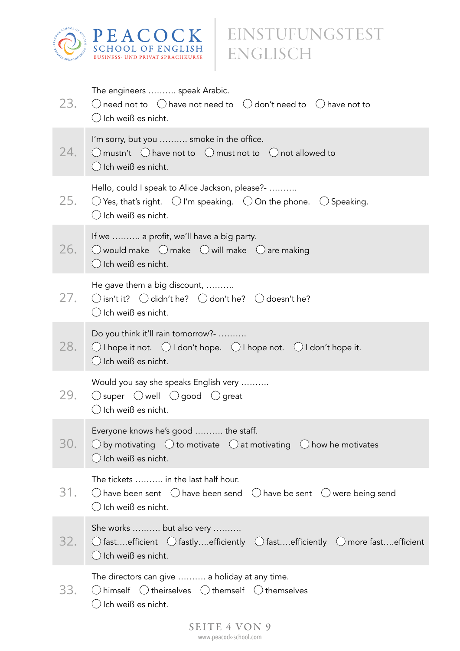

| 23. | The engineers  speak Arabic.<br>$\bigcirc$ need not to $\bigcirc$ have not need to $\bigcirc$ don't need to $\bigcirc$ have not to<br>$\bigcirc$ Ich weiß es nicht.                      |
|-----|------------------------------------------------------------------------------------------------------------------------------------------------------------------------------------------|
| 24. | I'm sorry, but you  smoke in the office.<br>$\bigcirc$ mustn't $\bigcirc$ have not to $\bigcirc$ must not to $\bigcirc$ not allowed to<br>$\bigcirc$ Ich weiß es nicht.                  |
| 25. | Hello, could I speak to Alice Jackson, please?-<br>$\bigcirc$ Yes, that's right. $\bigcirc$ I'm speaking. $\bigcirc$ On the phone. $\bigcirc$ Speaking.<br>$\bigcirc$ Ich weiß es nicht. |
| 26. | If we  a profit, we'll have a big party.<br>$\bigcirc$ would make $\bigcirc$ make $\bigcirc$ will make $\bigcirc$ are making<br>$\bigcirc$ Ich weiß es nicht.                            |
| 27. | He gave them a big discount,<br>$\bigcirc$ isn't it? $\bigcirc$ didn't he? $\bigcirc$ don't he? $\bigcirc$ doesn't he?<br>$\bigcirc$ Ich weiß es nicht.                                  |
| 28. | Do you think it'll rain tomorrow?-<br>$\bigcirc$ I hope it not. $\bigcirc$ I don't hope. $\bigcirc$ I hope not. $\bigcirc$ I don't hope it.<br>$\bigcirc$ Ich weiß es nicht.             |
| 29. | Would you say she speaks English very<br>$\bigcirc$ super $\bigcirc$ well $\bigcirc$ good $\bigcirc$ great<br>$\bigcirc$ Ich weiß es nicht.                                              |
| 30. | Everyone knows he's good  the staff.<br>$\bigcirc$ by motivating $\bigcirc$ to motivate $\bigcirc$ at motivating $\bigcirc$ how he motivates<br>$\bigcirc$ Ich weiß es nicht.            |
| 31. | The tickets  in the last half hour.<br>$\bigcirc$ have been sent $\bigcirc$ have been send $\bigcirc$ have be sent $\bigcirc$ were being send<br>() Ich weiß es nicht.                   |
| 32. | She works  but also very<br>$\bigcirc$ fastefficient $\bigcirc$ fastlyefficiently $\bigcirc$ fastefficiently $\bigcirc$ more fastefficient<br>$\bigcirc$ Ich weiß es nicht.              |
| 33. | The directors can give  a holiday at any time.<br>$\bigcirc$ himself $\bigcirc$ theirselves $\bigcirc$ themself $\bigcirc$ themselves<br>Ich weiß es nicht.                              |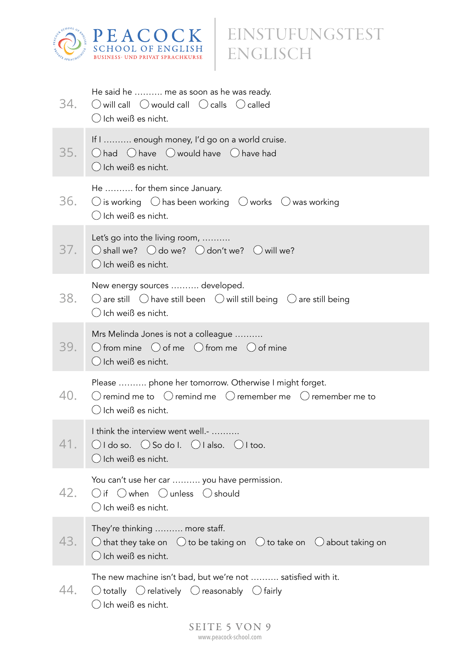

| 34. | He said he  me as soon as he was ready.<br>$\bigcirc$ will call $\bigcirc$ would call $\bigcirc$ calls $\bigcirc$ called<br>$\bigcirc$ Ich weiß es nicht.                         |
|-----|-----------------------------------------------------------------------------------------------------------------------------------------------------------------------------------|
| 35. | If I  enough money, I'd go on a world cruise.<br>$\bigcirc$ had $\bigcirc$ have $\bigcirc$ would have $\bigcirc$ have had<br>$\bigcirc$ Ich weiß es nicht.                        |
| 36. | He  for them since January.<br>$\bigcirc$ is working $\bigcirc$ has been working $\bigcirc$ works $\bigcirc$ was working<br>$\bigcirc$ Ich weiß es nicht.                         |
| 37. | Let's go into the living room,<br>$\bigcirc$ shall we? $\bigcirc$ do we? $\bigcirc$ don't we? $\bigcirc$ will we?<br>$\bigcirc$ Ich weiß es nicht.                                |
| 38. | New energy sources  developed.<br>$\bigcirc$ are still $\bigcirc$ have still been $\bigcirc$ will still being $\bigcirc$ are still being<br>$\bigcirc$ Ich weiß es nicht.         |
| 39. | Mrs Melinda Jones is not a colleague<br>$\bigcirc$ from mine $\bigcirc$ of me $\bigcirc$ from me $\bigcirc$ of mine<br>$\bigcirc$ Ich weiß es nicht.                              |
| 40. | Please  phone her tomorrow. Otherwise I might forget.<br>$\bigcirc$ remind me to $\bigcirc$ remind me $\bigcirc$ remember me $\bigcirc$ remember me to<br>() Ich weiß es nicht.   |
| 41. | I think the interview went well.-<br>$\bigcirc$ I do so. $\bigcirc$ So do I. $\bigcirc$ I also. $\bigcirc$ I too.<br>$\bigcirc$ Ich weiß es nicht.                                |
| 42. | You can't use her car  you have permission.<br>$\bigcirc$ if $\bigcirc$ when $\bigcirc$ unless $\bigcirc$ should<br>$\bigcirc$ Ich weiß es nicht.                                 |
| 43. | They're thinking  more staff.<br>$\bigcirc$ that they take on $\bigcirc$ to be taking on $\bigcirc$ to take on $\bigcirc$ about taking on<br>$\bigcirc$ Ich weiß es nicht.        |
| 44. | The new machine isn't bad, but we're not  satisfied with it.<br>$\bigcirc$ totally $\bigcirc$ relatively $\bigcirc$ reasonably $\bigcirc$ fairly<br>$\bigcirc$ Ich weiß es nicht. |
|     |                                                                                                                                                                                   |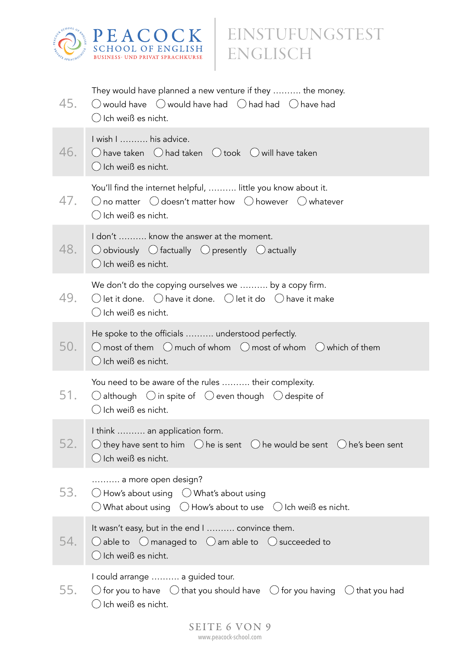

| 45. | They would have planned a new venture if they  the money.<br>$\bigcirc$ would have $\bigcirc$ would have had $\bigcirc$ had had $\bigcirc$ have had<br>$\bigcirc$ Ich weiß es nicht.                     |
|-----|----------------------------------------------------------------------------------------------------------------------------------------------------------------------------------------------------------|
| 46. | I wish I  his advice.<br>$\bigcirc$ have taken $\bigcirc$ had taken $\bigcirc$ took $\bigcirc$ will have taken<br>$\bigcirc$ Ich weiß es nicht.                                                          |
| 47. | You'll find the internet helpful,  little you know about it.<br>$\bigcirc$ no matter $\bigcirc$ doesn't matter how $\bigcirc$ however $\bigcirc$ whatever<br>$\bigcirc$ Ich weiß es nicht.               |
| 48. | I don't  know the answer at the moment.<br>$\bigcirc$ obviously $\bigcirc$ factually $\bigcirc$ presently $\bigcirc$ actually<br>$\bigcirc$ Ich weiß es nicht.                                           |
| 49. | We don't do the copying ourselves we  by a copy firm.<br>$\bigcirc$ let it done. $\bigcirc$ have it done. $\bigcirc$ let it do $\bigcirc$ have it make<br>$\bigcirc$ Ich weiß es nicht.                  |
| 50. | He spoke to the officials  understood perfectly.<br>$\bigcirc$ most of them $\bigcirc$ much of whom $\bigcirc$ most of whom $\bigcirc$ which of them<br>$\bigcirc$ Ich weiß es nicht.                    |
| 51. | You need to be aware of the rules  their complexity.<br>$\bigcirc$ although $\bigcirc$ in spite of $\bigcirc$ even though $\bigcirc$ despite of<br>$\bigcirc$ Ich weiß es nicht.                         |
| 52. | I think  an application form.<br>$\bigcirc$ they have sent to him $\bigcirc$ he is sent $\bigcirc$ he would be sent $\bigcirc$ he's been sent<br>$\bigcirc$ Ich weiß es nicht.                           |
| 53. | a more open design?<br>$\bigcirc$ How's about using $\bigcirc$ What's about using<br>$\bigcirc$ What about using $\hspace{.1cm} \bigcirc$ How's about to use $\hspace{.1cm} \bigcirc$ Ich weiß es nicht. |
| 54. | It wasn't easy, but in the end I  convince them.<br>$\bigcirc$ able to $\bigcirc$ managed to $\bigcirc$ am able to $\bigcirc$ succeeded to<br>$\bigcirc$ Ich weiß es nicht.                              |
| 55. | I could arrange  a guided tour.<br>$\bigcirc$ for you to have $\bigcirc$ that you should have $\bigcirc$ for you having $\bigcirc$ that you had<br>$\bigcirc$ Ich weiß es nicht.                         |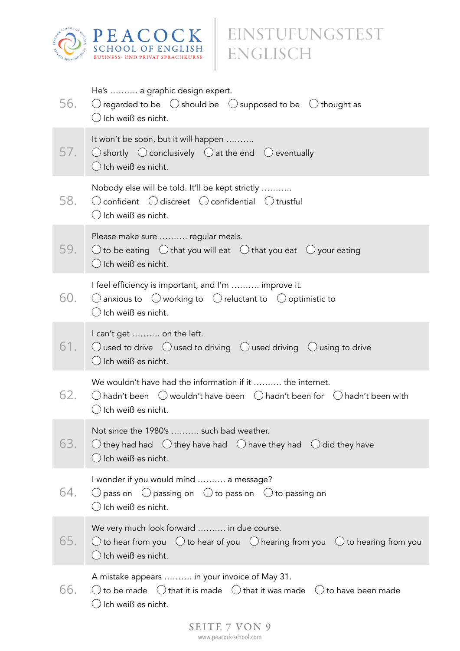

| 56. | He's  a graphic design expert.<br>$\bigcirc$ regarded to be $\bigcirc$ should be $\bigcirc$ supposed to be $\bigcirc$ thought as<br>$\bigcirc$ Ich weiß es nicht.                                 |
|-----|---------------------------------------------------------------------------------------------------------------------------------------------------------------------------------------------------|
| 57. | It won't be soon, but it will happen<br>$\bigcirc$ shortly $\bigcirc$ conclusively $\bigcirc$ at the end $\bigcirc$ eventually<br>$\bigcirc$ Ich weiß es nicht.                                   |
| 58. | Nobody else will be told. It'll be kept strictly<br>$\bigcirc$ confident $\bigcirc$ discreet $\bigcirc$ confidential $\bigcirc$ trustful<br>$\bigcirc$ Ich weiß es nicht.                         |
| 59. | Please make sure  regular meals.<br>$\bigcirc$ to be eating $\bigcirc$ that you will eat $\bigcirc$ that you eat $\bigcirc$ your eating<br>$\bigcirc$ Ich weiß es nicht.                          |
| 60. | I feel efficiency is important, and I'm  improve it.<br>$\bigcirc$ anxious to $\bigcirc$ working to $\bigcirc$ reluctant to $\bigcirc$ optimistic to<br>$\bigcirc$ Ich weiß es nicht.             |
| 61. | I can't get  on the left.<br>$\bigcirc$ used to drive $\bigcirc$ used to driving $\bigcirc$ used driving $\bigcirc$ using to drive<br>$\bigcirc$ Ich weiß es nicht.                               |
| 62. | We wouldn't have had the information if it  the internet.<br>$\bigcirc$ hadn't been $\bigcirc$ wouldn't have been $\bigcirc$ hadn't been for $\bigcirc$ hadn't been with<br>() Ich weiß es nicht. |
| 63. | Not since the 1980's  such bad weather.<br>$\bigcirc$ they had had $\bigcirc$ they have had $\bigcirc$ have they had $\bigcirc$ did they have<br>$\bigcirc$ Ich weiß es nicht.                    |
| 64. | I wonder if you would mind  a message?<br>$\bigcirc$ pass on $\bigcirc$ passing on $\bigcirc$ to pass on $\bigcirc$ to passing on<br>$\bigcirc$ Ich weiß es nicht.                                |
| 65. | We very much look forward  in due course.<br>$\bigcirc$ to hear from you $\bigcirc$ to hear of you $\bigcirc$ hearing from you $\bigcirc$ to hearing from you<br>$\bigcirc$ Ich weiß es nicht.    |
| 66. | A mistake appears  in your invoice of May 31.<br>$\bigcirc$ to be made $\bigcirc$ that it is made $\bigcirc$ that it was made $\bigcirc$ to have been made<br>$\bigcirc$ Ich weiß es nicht.       |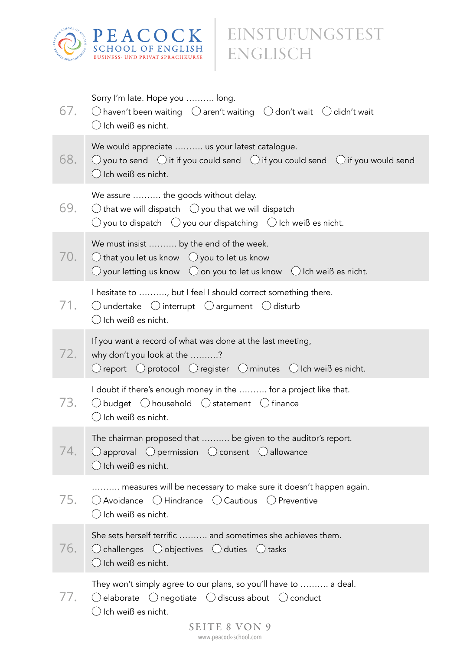

| 67. | Sorry I'm late. Hope you  long.<br>$\bigcirc$ haven't been waiting $\bigcirc$ aren't waiting $\bigcirc$ don't wait $\bigcirc$ didn't wait<br>$\bigcirc$ Ich weiß es nicht.                                                            |
|-----|---------------------------------------------------------------------------------------------------------------------------------------------------------------------------------------------------------------------------------------|
| 68. | We would appreciate  us your latest catalogue.<br>$\bigcirc$ you to send $\bigcirc$ it if you could send $\bigcirc$ if you could send $\bigcirc$ if you would send<br>$\bigcirc$ Ich weiß es nicht.                                   |
| 69. | We assure  the goods without delay.<br>$\bigcirc$ that we will dispatch $\bigcirc$ you that we will dispatch<br>$\bigcirc$ you to dispatch $\hspace{.1cm} \bigcirc$ you our dispatching $\hspace{.1cm} \bigcirc$ Ich weiß es nicht.   |
| 70. | We must insist  by the end of the week.<br>$\bigcirc$ that you let us know $\bigcirc$ you to let us know<br>$\bigcirc$ your letting us know $\bigcirc$ on you to let us know $\bigcirc$ Ich weiß es nicht.                            |
| 71. | I hesitate to , but I feel I should correct something there.<br>$\bigcirc$ undertake $\bigcirc$ interrupt $\bigcirc$ argument $\bigcirc$ disturb<br>$\bigcirc$ Ich weiß es nicht.                                                     |
| 72. | If you want a record of what was done at the last meeting,<br>why don't you look at the ?<br>$\bigcirc$ report $\bigcirc$ protocol $\bigcirc$ register $\bigcirc$ minutes $\bigcirc$ Ich weiß es nicht.                               |
| 73. | I doubt if there's enough money in the  for a project like that.<br>$\bigcirc$ budget $\bigcirc$ household $\bigcirc$ statement $\bigcirc$ finance<br>$\bigcirc$ Ich weiß es nicht.                                                   |
| 74. | The chairman proposed that  be given to the auditor's report.<br>$\bigcirc$ approval $\bigcirc$ permission $\bigcirc$ consent $\bigcirc$ allowance<br>$\bigcirc$ Ich weiß es nicht.                                                   |
| 75. | measures will be necessary to make sure it doesn't happen again.<br>$\bigcirc$ Avoidance $\bigcirc$ Hindrance $\bigcirc$ Cautious $\bigcirc$ Preventive<br>$\bigcirc$ Ich weiß es nicht.                                              |
| 76. | She sets herself terrific  and sometimes she achieves them.<br>$\bigcirc$ challenges $\bigcirc$ objectives $\bigcirc$ duties $\bigcirc$ tasks<br>$\bigcirc$ Ich weiß es nicht.                                                        |
| 77. | They won't simply agree to our plans, so you'll have to  a deal.<br>$\bigcirc$ elaborate $\bigcirc$ negotiate $\bigcirc$ discuss about $\bigcirc$ conduct<br>$\bigcirc$ Ich weiß es nicht.<br>SEITE 8 VON 9<br>www.peacock-school.com |